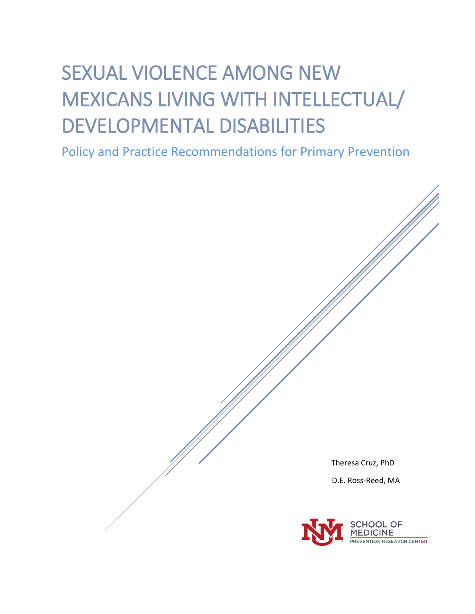# SEXUAL VIOLENCE AMONG NEW MEXICANS LIVING WITH INTELLECTUAL/ DEVELOPMENTAL DISABILITIES

Policy and Practice Recommendations for Primary Prevention

Theresa Cruz, PhD D.E. Ross-Reed, MA **IOOL OF IEDICINE REVENTION RESEARCH CENTER**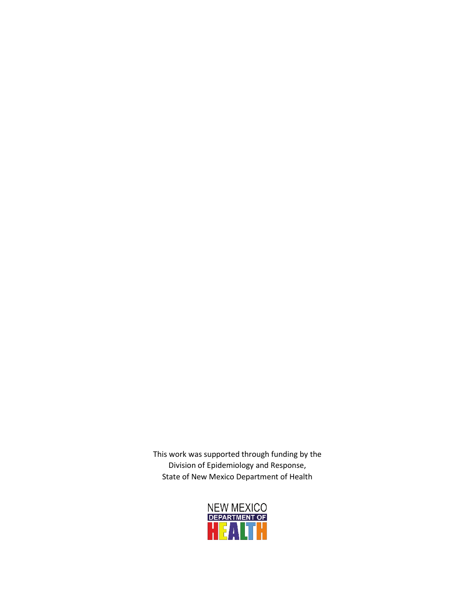This work was supported through funding by the Division of Epidemiology and Response, State of New Mexico Department of Health

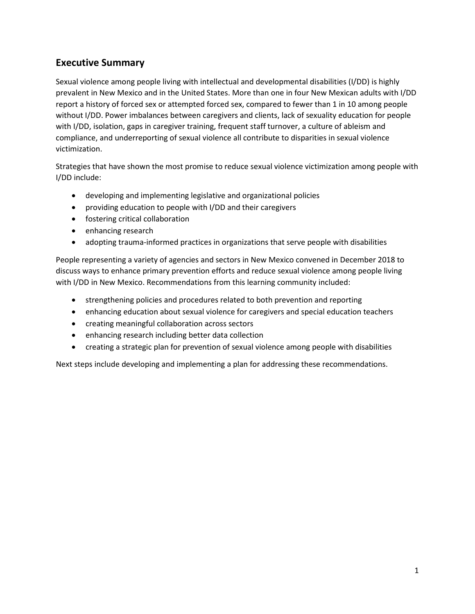# **Executive Summary**

Sexual violence among people living with intellectual and developmental disabilities (I/DD) is highly prevalent in New Mexico and in the United States. More than one in four New Mexican adults with I/DD report a history of forced sex or attempted forced sex, compared to fewer than 1 in 10 among people without I/DD. Power imbalances between caregivers and clients, lack of sexuality education for people with I/DD, isolation, gaps in caregiver training, frequent staff turnover, a culture of ableism and compliance, and underreporting of sexual violence all contribute to disparities in sexual violence victimization.

Strategies that have shown the most promise to reduce sexual violence victimization among people with I/DD include:

- developing and implementing legislative and organizational policies
- providing education to people with I/DD and their caregivers
- fostering critical collaboration
- enhancing research
- adopting trauma-informed practices in organizations that serve people with disabilities

People representing a variety of agencies and sectors in New Mexico convened in December 2018 to discuss ways to enhance primary prevention efforts and reduce sexual violence among people living with I/DD in New Mexico. Recommendations from this learning community included:

- strengthening policies and procedures related to both prevention and reporting
- enhancing education about sexual violence for caregivers and special education teachers
- creating meaningful collaboration across sectors
- enhancing research including better data collection
- creating a strategic plan for prevention of sexual violence among people with disabilities

Next steps include developing and implementing a plan for addressing these recommendations.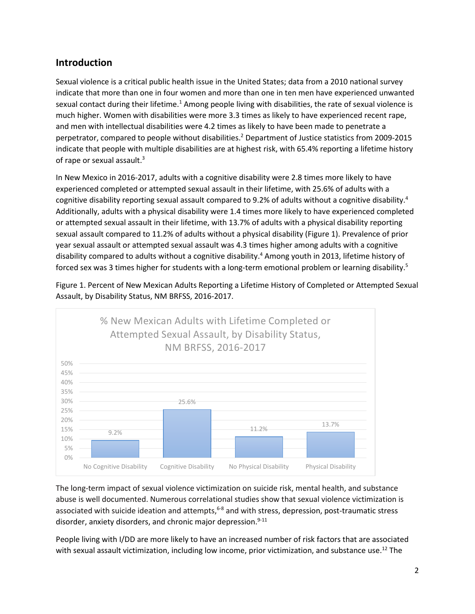# **Introduction**

Sexual violence is a critical public health issue in the United States; data from a 2010 national survey indicate that more than one in four women and more than one in ten men have experienced unwanted sexual contact during their lifetime.<sup>1</sup> Among people living with disabilities, the rate of sexual violence is much higher. Women with disabilities were more 3.3 times as likely to have experienced recent rape, and men with intellectual disabilities were 4.2 times as likely to have been made to penetrate a perpetrator, compared to people without disabilities. <sup>2</sup> Department of Justice statistics from 2009-2015 indicate that people with multiple disabilities are at highest risk, with 65.4% reporting a lifetime history of rape or sexual assault.<sup>3</sup>

In New Mexico in 2016-2017, adults with a cognitive disability were 2.8 times more likely to have experienced completed or attempted sexual assault in their lifetime, with 25.6% of adults with a cognitive disability reporting sexual assault compared to 9.2% of adults without a cognitive disability.<sup>4</sup> Additionally, adults with a physical disability were 1.4 times more likely to have experienced completed or attempted sexual assault in their lifetime, with 13.7% of adults with a physical disability reporting sexual assault compared to 11.2% of adults without a physical disability (Figure 1). Prevalence of prior year sexual assault or attempted sexual assault was 4.3 times higher among adults with a cognitive disability compared to adults without a cognitive disability.<sup>4</sup> Among youth in 2013, lifetime history of forced sex was 3 times higher for students with a long-term emotional problem or learning disability. 5

Figure 1. Percent of New Mexican Adults Reporting a Lifetime History of Completed or Attempted Sexual Assault, by Disability Status, NM BRFSS, 2016-2017.



The long-term impact of sexual violence victimization on suicide risk, mental health, and substance abuse is well documented. Numerous correlational studies show that sexual violence victimization is associated with suicide ideation and attempts,<sup>6-8</sup> and with stress, depression, post-traumatic stress disorder, anxiety disorders, and chronic major depression.<sup>9-11</sup>

People living with I/DD are more likely to have an increased number of risk factors that are associated with sexual assault victimization, including low income, prior victimization, and substance use.<sup>12</sup> The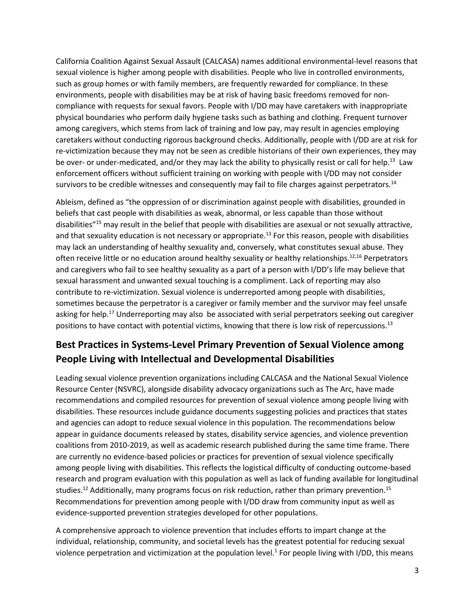California Coalition Against Sexual Assault (CALCASA) names additional environmental-level reasons that sexual violence is higher among people with disabilities. People who live in controlled environments, such as group homes or with family members, are frequently rewarded for compliance. In these environments, people with disabilities may be at risk of having basic freedoms removed for noncompliance with requests for sexual favors. People with I/DD may have caretakers with inappropriate physical boundaries who perform daily hygiene tasks such as bathing and clothing. Frequent turnover among caregivers, which stems from lack of training and low pay, may result in agencies employing caretakers without conducting rigorous background checks. Additionally, people with I/DD are at risk for re-victimization because they may not be seen as credible historians of their own experiences, they may be over- or under-medicated, and/or they may lack the ability to physically resist or call for help.<sup>13</sup> Law enforcement officers without sufficient training on working with people with I/DD may not consider survivors to be credible witnesses and consequently may fail to file charges against perpetrators.<sup>14</sup>

Ableism, defined as "the oppression of or discrimination against people with disabilities, grounded in beliefs that cast people with disabilities as weak, abnormal, or less capable than those without disabilities"15 may result in the belief that people with disabilities are asexual or not sexually attractive, and that sexuality education is not necessary or appropriate.<sup>13</sup> For this reason, people with disabilities may lack an understanding of healthy sexuality and, conversely, what constitutes sexual abuse. They often receive little or no education around healthy sexuality or healthy relationships.<sup>12,16</sup> Perpetrators and caregivers who fail to see healthy sexuality as a part of a person with I/DD's life may believe that sexual harassment and unwanted sexual touching is a compliment. Lack of reporting may also contribute to re-victimization. Sexual violence is underreported among people with disabilities, sometimes because the perpetrator is a caregiver or family member and the survivor may feel unsafe asking for help.<sup>17</sup> Underreporting may also be associated with serial perpetrators seeking out caregiver positions to have contact with potential victims, knowing that there is low risk of repercussions.<sup>13</sup>

# **Best Practices in Systems-Level Primary Prevention of Sexual Violence among People Living with Intellectual and Developmental Disabilities**

Leading sexual violence prevention organizations including CALCASA and the National Sexual Violence Resource Center (NSVRC), alongside disability advocacy organizations such as The Arc, have made recommendations and compiled resources for prevention of sexual violence among people living with disabilities. These resources include guidance documents suggesting policies and practices that states and agencies can adopt to reduce sexual violence in this population. The recommendations below appear in guidance documents released by states, disability service agencies, and violence prevention coalitions from 2010-2019, as well as academic research published during the same time frame. There are currently no evidence-based policies or practices for prevention of sexual violence specifically among people living with disabilities. This reflects the logistical difficulty of conducting outcome-based research and program evaluation with this population as well as lack of funding available for longitudinal studies.<sup>12</sup> Additionally, many programs focus on risk reduction, rather than primary prevention.<sup>15</sup> Recommendations for prevention among people with I/DD draw from community input as well as evidence-supported prevention strategies developed for other populations.

A comprehensive approach to violence prevention that includes efforts to impart change at the individual, relationship, community, and societal levels has the greatest potential for reducing sexual violence perpetration and victimization at the population level. $1$  For people living with I/DD, this means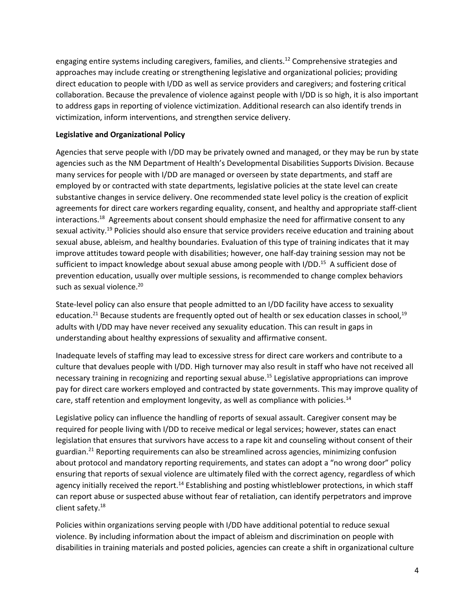engaging entire systems including caregivers, families, and clients.<sup>12</sup> Comprehensive strategies and approaches may include creating or strengthening legislative and organizational policies; providing direct education to people with I/DD as well as service providers and caregivers; and fostering critical collaboration. Because the prevalence of violence against people with I/DD is so high, it is also important to address gaps in reporting of violence victimization. Additional research can also identify trends in victimization, inform interventions, and strengthen service delivery.

# **Legislative and Organizational Policy**

Agencies that serve people with I/DD may be privately owned and managed, or they may be run by state agencies such as the NM Department of Health's Developmental Disabilities Supports Division. Because many services for people with I/DD are managed or overseen by state departments, and staff are employed by or contracted with state departments, legislative policies at the state level can create substantive changes in service delivery. One recommended state level policy is the creation of explicit agreements for direct care workers regarding equality, consent, and healthy and appropriate staff-client interactions.<sup>18</sup> Agreements about consent should emphasize the need for affirmative consent to any sexual activity.<sup>19</sup> Policies should also ensure that service providers receive education and training about sexual abuse, ableism, and healthy boundaries. Evaluation of this type of training indicates that it may improve attitudes toward people with disabilities; however, one half-day training session may not be sufficient to impact knowledge about sexual abuse among people with I/DD.<sup>15</sup> A sufficient dose of prevention education, usually over multiple sessions, is recommended to change complex behaviors such as sexual violence.<sup>20</sup>

State-level policy can also ensure that people admitted to an I/DD facility have access to sexuality education.<sup>21</sup> Because students are frequently opted out of health or sex education classes in school,<sup>19</sup> adults with I/DD may have never received any sexuality education. This can result in gaps in understanding about healthy expressions of sexuality and affirmative consent.

Inadequate levels of staffing may lead to excessive stress for direct care workers and contribute to a culture that devalues people with I/DD. High turnover may also result in staff who have not received all necessary training in recognizing and reporting sexual abuse. <sup>15</sup> Legislative appropriations can improve pay for direct care workers employed and contracted by state governments. This may improve quality of care, staff retention and employment longevity, as well as compliance with policies.<sup>14</sup>

Legislative policy can influence the handling of reports of sexual assault. Caregiver consent may be required for people living with I/DD to receive medical or legal services; however, states can enact legislation that ensures that survivors have access to a rape kit and counseling without consent of their guardian. <sup>21</sup> Reporting requirements can also be streamlined across agencies, minimizing confusion about protocol and mandatory reporting requirements, and states can adopt a "no wrong door" policy ensuring that reports of sexual violence are ultimately filed with the correct agency, regardless of which agency initially received the report.<sup>14</sup> Establishing and posting whistleblower protections, in which staff can report abuse or suspected abuse without fear of retaliation, can identify perpetrators and improve client safety. 18

Policies within organizations serving people with I/DD have additional potential to reduce sexual violence. By including information about the impact of ableism and discrimination on people with disabilities in training materials and posted policies, agencies can create a shift in organizational culture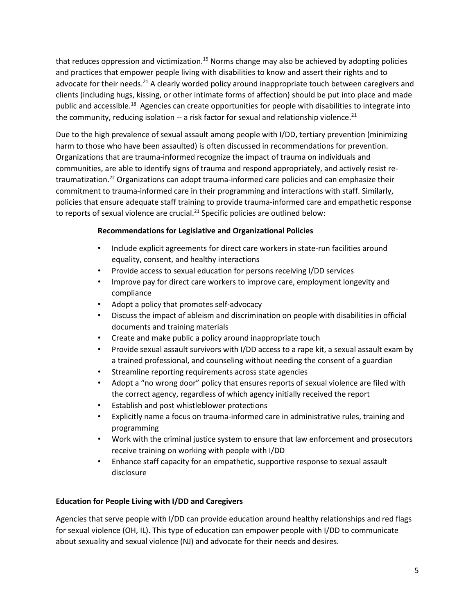that reduces oppression and victimization.<sup>15</sup> Norms change may also be achieved by adopting policies and practices that empower people living with disabilities to know and assert their rights and to advocate for their needs.<sup>21</sup> A clearly worded policy around inappropriate touch between caregivers and clients (including hugs, kissing, or other intimate forms of affection) should be put into place and made public and accessible.<sup>18</sup> Agencies can create opportunities for people with disabilities to integrate into the community, reducing isolation -- a risk factor for sexual and relationship violence.<sup>21</sup>

Due to the high prevalence of sexual assault among people with I/DD, tertiary prevention (minimizing harm to those who have been assaulted) is often discussed in recommendations for prevention. Organizations that are trauma-informed recognize the impact of trauma on individuals and communities, are able to identify signs of trauma and respond appropriately, and actively resist retraumatization.<sup>22</sup> Organizations can adopt trauma-informed care policies and can emphasize their commitment to trauma-informed care in their programming and interactions with staff. Similarly, policies that ensure adequate staff training to provide trauma-informed care and empathetic response to reports of sexual violence are crucial.<sup>21</sup> Specific policies are outlined below:

# **Recommendations for Legislative and Organizational Policies**

- Include explicit agreements for direct care workers in state-run facilities around equality, consent, and healthy interactions
- Provide access to sexual education for persons receiving I/DD services
- Improve pay for direct care workers to improve care, employment longevity and compliance
- Adopt a policy that promotes self-advocacy
- Discuss the impact of ableism and discrimination on people with disabilities in official documents and training materials
- Create and make public a policy around inappropriate touch
- Provide sexual assault survivors with I/DD access to a rape kit, a sexual assault exam by a trained professional, and counseling without needing the consent of a guardian
- Streamline reporting requirements across state agencies
- Adopt a "no wrong door" policy that ensures reports of sexual violence are filed with the correct agency, regardless of which agency initially received the report
- Establish and post whistleblower protections
- Explicitly name a focus on trauma-informed care in administrative rules, training and programming
- Work with the criminal justice system to ensure that law enforcement and prosecutors receive training on working with people with I/DD
- Enhance staff capacity for an empathetic, supportive response to sexual assault disclosure

# **Education for People Living with I/DD and Caregivers**

Agencies that serve people with I/DD can provide education around healthy relationships and red flags for sexual violence (OH, IL). This type of education can empower people with I/DD to communicate about sexuality and sexual violence (NJ) and advocate for their needs and desires.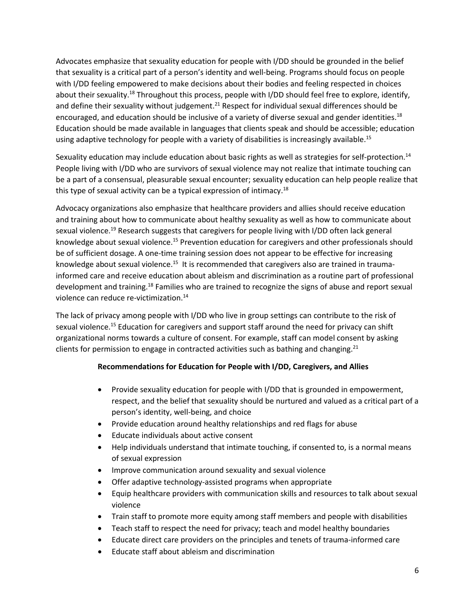Advocates emphasize that sexuality education for people with I/DD should be grounded in the belief that sexuality is a critical part of a person's identity and well-being. Programs should focus on people with I/DD feeling empowered to make decisions about their bodies and feeling respected in choices about their sexuality.<sup>18</sup> Throughout this process, people with I/DD should feel free to explore, identify, and define their sexuality without judgement.<sup>21</sup> Respect for individual sexual differences should be encouraged, and education should be inclusive of a variety of diverse sexual and gender identities.<sup>18</sup> Education should be made available in languages that clients speak and should be accessible; education using adaptive technology for people with a variety of disabilities is increasingly available.<sup>15</sup>

Sexuality education may include education about basic rights as well as strategies for self-protection.<sup>14</sup> People living with I/DD who are survivors of sexual violence may not realize that intimate touching can be a part of a consensual, pleasurable sexual encounter; sexuality education can help people realize that this type of sexual activity can be a typical expression of intimacy.<sup>18</sup>

Advocacy organizations also emphasize that healthcare providers and allies should receive education and training about how to communicate about healthy sexuality as well as how to communicate about sexual violence.<sup>19</sup> Research suggests that caregivers for people living with I/DD often lack general knowledge about sexual violence.<sup>15</sup> Prevention education for caregivers and other professionals should be of sufficient dosage. A one-time training session does not appear to be effective for increasing knowledge about sexual violence.<sup>15</sup> It is recommended that caregivers also are trained in traumainformed care and receive education about ableism and discrimination as a routine part of professional development and training.<sup>18</sup> Families who are trained to recognize the signs of abuse and report sexual violence can reduce re-victimization. 14

The lack of privacy among people with I/DD who live in group settings can contribute to the risk of sexual violence.<sup>15</sup> Education for caregivers and support staff around the need for privacy can shift organizational norms towards a culture of consent. For example, staff can model consent by asking clients for permission to engage in contracted activities such as bathing and changing.<sup>21</sup>

## **Recommendations for Education for People with I/DD, Caregivers, and Allies**

- Provide sexuality education for people with I/DD that is grounded in empowerment, respect, and the belief that sexuality should be nurtured and valued as a critical part of a person's identity, well-being, and choice
- Provide education around healthy relationships and red flags for abuse
- Educate individuals about active consent
- Help individuals understand that intimate touching, if consented to, is a normal means of sexual expression
- Improve communication around sexuality and sexual violence
- Offer adaptive technology-assisted programs when appropriate
- Equip healthcare providers with communication skills and resources to talk about sexual violence
- Train staff to promote more equity among staff members and people with disabilities
- Teach staff to respect the need for privacy; teach and model healthy boundaries
- Educate direct care providers on the principles and tenets of trauma-informed care
- Educate staff about ableism and discrimination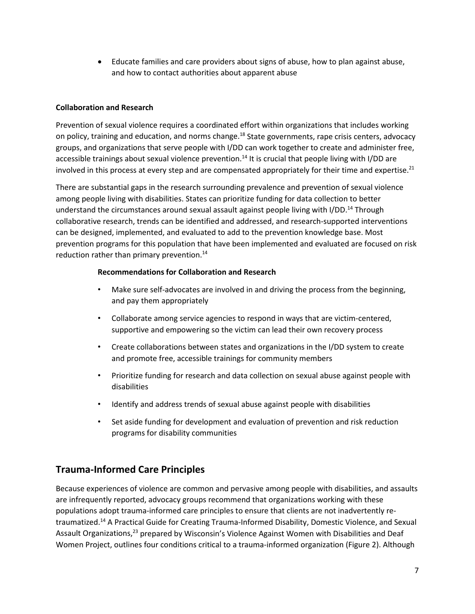• Educate families and care providers about signs of abuse, how to plan against abuse, and how to contact authorities about apparent abuse

# **Collaboration and Research**

Prevention of sexual violence requires a coordinated effort within organizations that includes working on policy, training and education, and norms change.<sup>18</sup> State governments, rape crisis centers, advocacy groups, and organizations that serve people with I/DD can work together to create and administer free, accessible trainings about sexual violence prevention.<sup>14</sup> It is crucial that people living with I/DD are involved in this process at every step and are compensated appropriately for their time and expertise.<sup>21</sup>

There are substantial gaps in the research surrounding prevalence and prevention of sexual violence among people living with disabilities. States can prioritize funding for data collection to better understand the circumstances around sexual assault against people living with I/DD.<sup>14</sup> Through collaborative research, trends can be identified and addressed, and research-supported interventions can be designed, implemented, and evaluated to add to the prevention knowledge base. Most prevention programs for this population that have been implemented and evaluated are focused on risk reduction rather than primary prevention. 14

## **Recommendations for Collaboration and Research**

- Make sure self-advocates are involved in and driving the process from the beginning, and pay them appropriately
- Collaborate among service agencies to respond in ways that are victim-centered, supportive and empowering so the victim can lead their own recovery process
- Create collaborations between states and organizations in the I/DD system to create and promote free, accessible trainings for community members
- Prioritize funding for research and data collection on sexual abuse against people with disabilities
- Identify and address trends of sexual abuse against people with disabilities
- Set aside funding for development and evaluation of prevention and risk reduction programs for disability communities

# **Trauma-Informed Care Principles**

Because experiences of violence are common and pervasive among people with disabilities, and assaults are infrequently reported, advocacy groups recommend that organizations working with these populations adopt trauma-informed care principles to ensure that clients are not inadvertently retraumatized.<sup>14</sup> A Practical Guide for Creating Trauma-Informed Disability, Domestic Violence, and Sexual Assault Organizations,<sup>23</sup> prepared by Wisconsin's Violence Against Women with Disabilities and Deaf Women Project, outlines four conditions critical to a trauma-informed organization (Figure 2). Although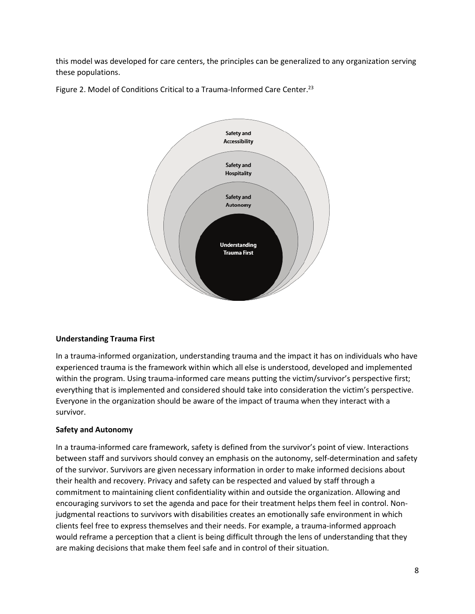this model was developed for care centers, the principles can be generalized to any organization serving these populations.





## **Understanding Trauma First**

In a trauma-informed organization, understanding trauma and the impact it has on individuals who have experienced trauma is the framework within which all else is understood, developed and implemented within the program. Using trauma-informed care means putting the victim/survivor's perspective first; everything that is implemented and considered should take into consideration the victim's perspective. Everyone in the organization should be aware of the impact of trauma when they interact with a survivor.

## **Safety and Autonomy**

In a trauma-informed care framework, safety is defined from the survivor's point of view. Interactions between staff and survivors should convey an emphasis on the autonomy, self-determination and safety of the survivor. Survivors are given necessary information in order to make informed decisions about their health and recovery. Privacy and safety can be respected and valued by staff through a commitment to maintaining client confidentiality within and outside the organization. Allowing and encouraging survivors to set the agenda and pace for their treatment helps them feel in control. Nonjudgmental reactions to survivors with disabilities creates an emotionally safe environment in which clients feel free to express themselves and their needs. For example, a trauma-informed approach would reframe a perception that a client is being difficult through the lens of understanding that they are making decisions that make them feel safe and in control of their situation.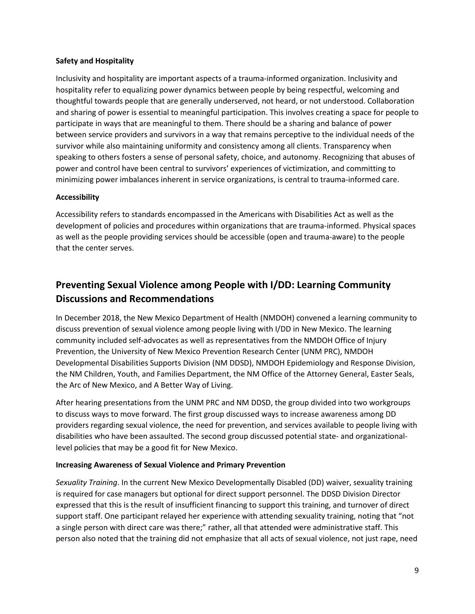## **Safety and Hospitality**

Inclusivity and hospitality are important aspects of a trauma-informed organization. Inclusivity and hospitality refer to equalizing power dynamics between people by being respectful, welcoming and thoughtful towards people that are generally underserved, not heard, or not understood. Collaboration and sharing of power is essential to meaningful participation. This involves creating a space for people to participate in ways that are meaningful to them. There should be a sharing and balance of power between service providers and survivors in a way that remains perceptive to the individual needs of the survivor while also maintaining uniformity and consistency among all clients. Transparency when speaking to others fosters a sense of personal safety, choice, and autonomy. Recognizing that abuses of power and control have been central to survivors' experiences of victimization, and committing to minimizing power imbalances inherent in service organizations, is central to trauma-informed care.

# **Accessibility**

Accessibility refers to standards encompassed in the Americans with Disabilities Act as well as the development of policies and procedures within organizations that are trauma-informed. Physical spaces as well as the people providing services should be accessible (open and trauma-aware) to the people that the center serves.

# **Preventing Sexual Violence among People with I/DD: Learning Community Discussions and Recommendations**

In December 2018, the New Mexico Department of Health (NMDOH) convened a learning community to discuss prevention of sexual violence among people living with I/DD in New Mexico. The learning community included self-advocates as well as representatives from the NMDOH Office of Injury Prevention, the University of New Mexico Prevention Research Center (UNM PRC), NMDOH Developmental Disabilities Supports Division (NM DDSD), NMDOH Epidemiology and Response Division, the NM Children, Youth, and Families Department, the NM Office of the Attorney General, Easter Seals, the Arc of New Mexico, and A Better Way of Living.

After hearing presentations from the UNM PRC and NM DDSD, the group divided into two workgroups to discuss ways to move forward. The first group discussed ways to increase awareness among DD providers regarding sexual violence, the need for prevention, and services available to people living with disabilities who have been assaulted. The second group discussed potential state- and organizationallevel policies that may be a good fit for New Mexico.

# **Increasing Awareness of Sexual Violence and Primary Prevention**

*Sexuality Training*. In the current New Mexico Developmentally Disabled (DD) waiver, sexuality training is required for case managers but optional for direct support personnel. The DDSD Division Director expressed that this is the result of insufficient financing to support this training, and turnover of direct support staff. One participant relayed her experience with attending sexuality training, noting that "not a single person with direct care was there;" rather, all that attended were administrative staff. This person also noted that the training did not emphasize that all acts of sexual violence, not just rape, need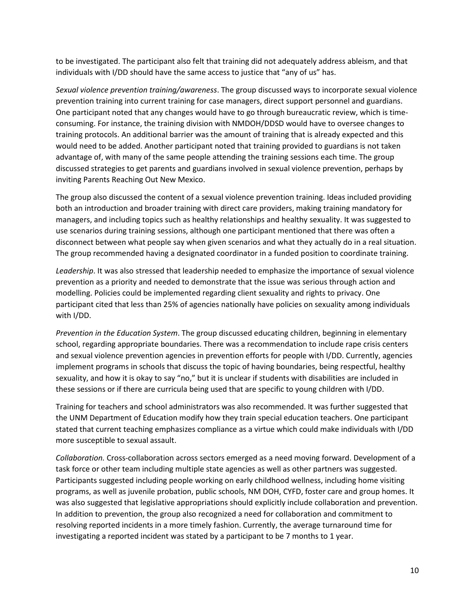to be investigated. The participant also felt that training did not adequately address ableism, and that individuals with I/DD should have the same access to justice that "any of us" has.

*Sexual violence prevention training/awareness*. The group discussed ways to incorporate sexual violence prevention training into current training for case managers, direct support personnel and guardians. One participant noted that any changes would have to go through bureaucratic review, which is timeconsuming. For instance, the training division with NMDOH/DDSD would have to oversee changes to training protocols. An additional barrier was the amount of training that is already expected and this would need to be added. Another participant noted that training provided to guardians is not taken advantage of, with many of the same people attending the training sessions each time. The group discussed strategies to get parents and guardians involved in sexual violence prevention, perhaps by inviting Parents Reaching Out New Mexico.

The group also discussed the content of a sexual violence prevention training. Ideas included providing both an introduction and broader training with direct care providers, making training mandatory for managers, and including topics such as healthy relationships and healthy sexuality. It was suggested to use scenarios during training sessions, although one participant mentioned that there was often a disconnect between what people say when given scenarios and what they actually do in a real situation. The group recommended having a designated coordinator in a funded position to coordinate training.

*Leadership*. It was also stressed that leadership needed to emphasize the importance of sexual violence prevention as a priority and needed to demonstrate that the issue was serious through action and modelling. Policies could be implemented regarding client sexuality and rights to privacy. One participant cited that less than 25% of agencies nationally have policies on sexuality among individuals with I/DD.

*Prevention in the Education System*. The group discussed educating children, beginning in elementary school, regarding appropriate boundaries. There was a recommendation to include rape crisis centers and sexual violence prevention agencies in prevention efforts for people with I/DD. Currently, agencies implement programs in schools that discuss the topic of having boundaries, being respectful, healthy sexuality, and how it is okay to say "no," but it is unclear if students with disabilities are included in these sessions or if there are curricula being used that are specific to young children with I/DD.

Training for teachers and school administrators was also recommended. It was further suggested that the UNM Department of Education modify how they train special education teachers. One participant stated that current teaching emphasizes compliance as a virtue which could make individuals with I/DD more susceptible to sexual assault.

*Collaboration.* Cross-collaboration across sectors emerged as a need moving forward. Development of a task force or other team including multiple state agencies as well as other partners was suggested. Participants suggested including people working on early childhood wellness, including home visiting programs, as well as juvenile probation, public schools, NM DOH, CYFD, foster care and group homes. It was also suggested that legislative appropriations should explicitly include collaboration and prevention. In addition to prevention, the group also recognized a need for collaboration and commitment to resolving reported incidents in a more timely fashion. Currently, the average turnaround time for investigating a reported incident was stated by a participant to be 7 months to 1 year.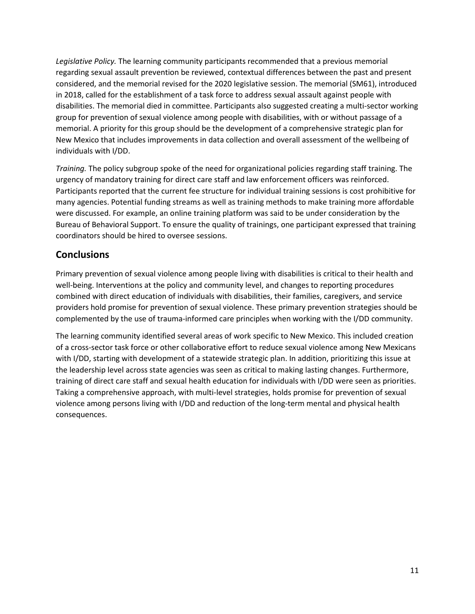*Legislative Policy.* The learning community participants recommended that a previous memorial regarding sexual assault prevention be reviewed, contextual differences between the past and present considered, and the memorial revised for the 2020 legislative session. The memorial (SM61), introduced in 2018, called for the establishment of a task force to address sexual assault against people with disabilities. The memorial died in committee. Participants also suggested creating a multi-sector working group for prevention of sexual violence among people with disabilities, with or without passage of a memorial. A priority for this group should be the development of a comprehensive strategic plan for New Mexico that includes improvements in data collection and overall assessment of the wellbeing of individuals with I/DD.

*Training.* The policy subgroup spoke of the need for organizational policies regarding staff training. The urgency of mandatory training for direct care staff and law enforcement officers was reinforced. Participants reported that the current fee structure for individual training sessions is cost prohibitive for many agencies. Potential funding streams as well as training methods to make training more affordable were discussed. For example, an online training platform was said to be under consideration by the Bureau of Behavioral Support. To ensure the quality of trainings, one participant expressed that training coordinators should be hired to oversee sessions.

# **Conclusions**

Primary prevention of sexual violence among people living with disabilities is critical to their health and well-being. Interventions at the policy and community level, and changes to reporting procedures combined with direct education of individuals with disabilities, their families, caregivers, and service providers hold promise for prevention of sexual violence. These primary prevention strategies should be complemented by the use of trauma-informed care principles when working with the I/DD community.

The learning community identified several areas of work specific to New Mexico. This included creation of a cross-sector task force or other collaborative effort to reduce sexual violence among New Mexicans with I/DD, starting with development of a statewide strategic plan. In addition, prioritizing this issue at the leadership level across state agencies was seen as critical to making lasting changes. Furthermore, training of direct care staff and sexual health education for individuals with I/DD were seen as priorities. Taking a comprehensive approach, with multi-level strategies, holds promise for prevention of sexual violence among persons living with I/DD and reduction of the long-term mental and physical health consequences.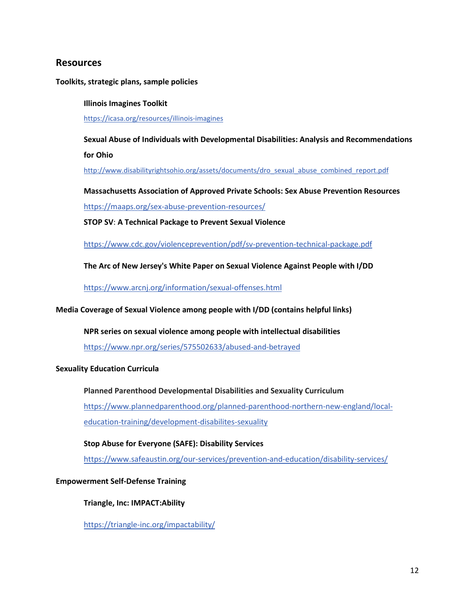# **Resources**

**Toolkits, strategic plans, sample policies**

**Illinois Imagines Toolkit** <https://icasa.org/resources/illinois-imagines>

**Sexual Abuse of Individuals with Developmental Disabilities: Analysis and Recommendations for Ohio**

[http://www.disabilityrightsohio.org/assets/documents/dro\\_sexual\\_abuse\\_combined\\_report.pdf](http://www.disabilityrightsohio.org/assets/documents/dro_sexual_abuse_combined_report.pdf)

**Massachusetts Association of Approved Private Schools: Sex Abuse Prevention Resources** <https://maaps.org/sex-abuse-prevention-resources/>

**STOP SV**: **A Technical Package to Prevent Sexual Violence**

<https://www.cdc.gov/violenceprevention/pdf/sv-prevention-technical-package.pdf>

**The Arc of New Jersey's White Paper on Sexual Violence Against People with I/DD**

<https://www.arcnj.org/information/sexual-offenses.html>

**Media Coverage of Sexual Violence among people with I/DD (contains helpful links)**

#### **NPR series on sexual violence among people with intellectual disabilities**

<https://www.npr.org/series/575502633/abused-and-betrayed>

#### **Sexuality Education Curricula**

**Planned Parenthood Developmental Disabilities and Sexuality Curriculum** [https://www.plannedparenthood.org/planned-parenthood-northern-new-england/local](https://www.plannedparenthood.org/planned-parenthood-northern-new-england/local-education-training/development-disabilites-sexuality)[education-training/development-disabilites-sexuality](https://www.plannedparenthood.org/planned-parenthood-northern-new-england/local-education-training/development-disabilites-sexuality)

**Stop Abuse for Everyone (SAFE): Disability Services**

<https://www.safeaustin.org/our-services/prevention-and-education/disability-services/>

#### **Empowerment Self-Defense Training**

**Triangle, Inc: IMPACT:Ability**

<https://triangle-inc.org/impactability/>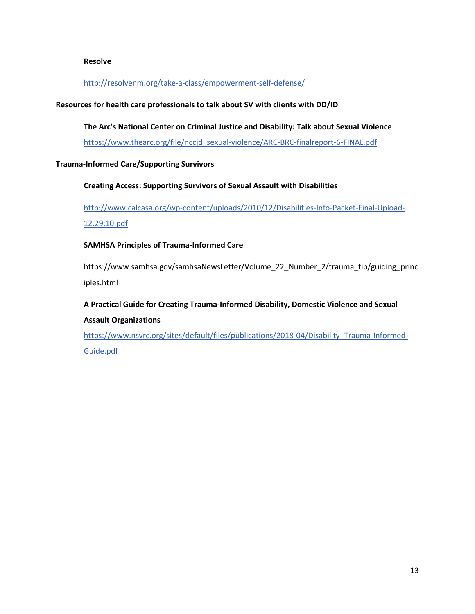#### **Resolve**

## <http://resolvenm.org/take-a-class/empowerment-self-defense/>

## **Resources for health care professionals to talk about SV with clients with DD/ID**

#### **The Arc's National Center on Criminal Justice and Disability: Talk about Sexual Violence**

[https://www.thearc.org/file/nccjd\\_sexual-violence/ARC-BRC-finalreport-6-FINAL.pdf](https://www.thearc.org/file/nccjd_sexual-violence/ARC-BRC-finalreport-6-FINAL.pdf)

#### **Trauma-Informed Care/Supporting Survivors**

#### **Creating Access: Supporting Survivors of Sexual Assault with Disabilities**

[http://www.calcasa.org/wp-content/uploads/2010/12/Disabilities-Info-Packet-Final-Upload-](http://www.calcasa.org/wp-content/uploads/2010/12/Disabilities-Info-Packet-Final-Upload-12.29.10.pdf)[12.29.10.pdf](http://www.calcasa.org/wp-content/uploads/2010/12/Disabilities-Info-Packet-Final-Upload-12.29.10.pdf)

#### **SAMHSA Principles of Trauma-Informed Care**

https://www.samhsa.gov/samhsaNewsLetter/Volume\_22\_Number\_2/trauma\_tip/guiding\_princ iples.html

**A Practical Guide for Creating Trauma-Informed Disability, Domestic Violence and Sexual Assault Organizations**

[https://www.nsvrc.org/sites/default/files/publications/2018-04/Disability\\_Trauma-Informed-](https://www.nsvrc.org/sites/default/files/publications/2018-04/Disability_Trauma-Informed-Guide.pdf)[Guide.pdf](https://www.nsvrc.org/sites/default/files/publications/2018-04/Disability_Trauma-Informed-Guide.pdf)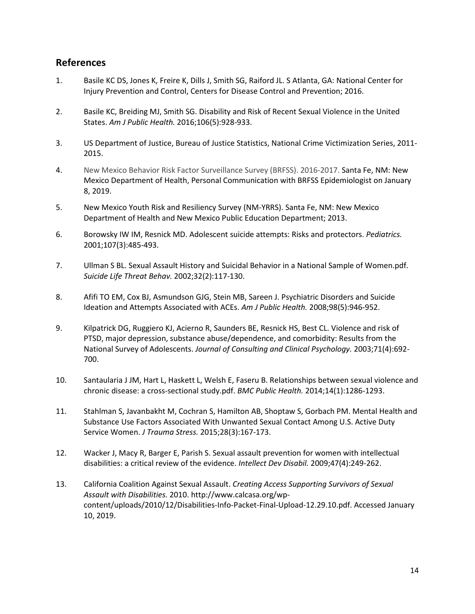# **References**

- 1. Basile KC DS, Jones K, Freire K, Dills J, Smith SG, Raiford JL. S Atlanta, GA: National Center for Injury Prevention and Control, Centers for Disease Control and Prevention; 2016.
- 2. Basile KC, Breiding MJ, Smith SG. Disability and Risk of Recent Sexual Violence in the United States. *Am J Public Health.* 2016;106(5):928-933.
- 3. US Department of Justice, Bureau of Justice Statistics, National Crime Victimization Series, 2011- 2015.
- 4. New Mexico Behavior Risk Factor Surveillance Survey (BRFSS). 2016-2017. Santa Fe, NM: New Mexico Department of Health, Personal Communication with BRFSS Epidemiologist on January 8, 2019.
- 5. New Mexico Youth Risk and Resiliency Survey (NM-YRRS). Santa Fe, NM: New Mexico Department of Health and New Mexico Public Education Department; 2013.
- 6. Borowsky IW IM, Resnick MD. Adolescent suicide attempts: Risks and protectors. *Pediatrics.*  2001;107(3):485-493.
- 7. Ullman S BL. Sexual Assault History and Suicidal Behavior in a National Sample of Women.pdf. *Suicide Life Threat Behav.* 2002;32(2):117-130.
- 8. Afifi TO EM, Cox BJ, Asmundson GJG, Stein MB, Sareen J. Psychiatric Disorders and Suicide Ideation and Attempts Associated with ACEs. *Am J Public Health.* 2008;98(5):946-952.
- 9. Kilpatrick DG, Ruggiero KJ, Acierno R, Saunders BE, Resnick HS, Best CL. Violence and risk of PTSD, major depression, substance abuse/dependence, and comorbidity: Results from the National Survey of Adolescents. *Journal of Consulting and Clinical Psychology.* 2003;71(4):692- 700.
- 10. Santaularia J JM, Hart L, Haskett L, Welsh E, Faseru B. Relationships between sexual violence and chronic disease: a cross-sectional study.pdf. *BMC Public Health.* 2014;14(1):1286-1293.
- 11. Stahlman S, Javanbakht M, Cochran S, Hamilton AB, Shoptaw S, Gorbach PM. Mental Health and Substance Use Factors Associated With Unwanted Sexual Contact Among U.S. Active Duty Service Women. *J Trauma Stress.* 2015;28(3):167-173.
- 12. Wacker J, Macy R, Barger E, Parish S. Sexual assault prevention for women with intellectual disabilities: a critical review of the evidence. *Intellect Dev Disabil.* 2009;47(4):249-262.
- 13. California Coalition Against Sexual Assault. *Creating Access Supporting Survivors of Sexual Assault with Disabilities.* 2010. http://www.calcasa.org/wpcontent/uploads/2010/12/Disabilities-Info-Packet-Final-Upload-12.29.10.pdf. Accessed January 10, 2019.